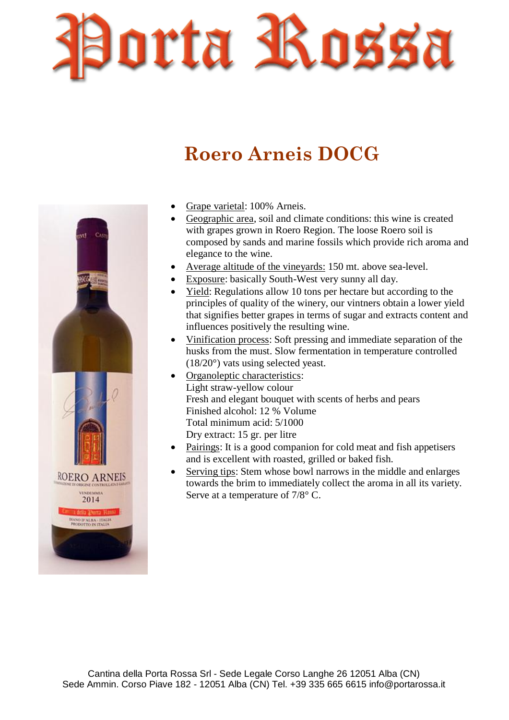

## **Roero Arneis DOCG**



- Grape varietal: 100% Arneis.
- Geographic area, soil and climate conditions: this wine is created with grapes grown in Roero Region. The loose Roero soil is composed by sands and marine fossils which provide rich aroma and elegance to the wine.
- Average altitude of the vineyards: 150 mt. above sea-level.
- Exposure: basically South-West very sunny all day.
- Yield: Regulations allow 10 tons per hectare but according to the principles of quality of the winery, our vintners obtain a lower yield that signifies better grapes in terms of sugar and extracts content and influences positively the resulting wine.
- Vinification process: Soft pressing and immediate separation of the husks from the must. Slow fermentation in temperature controlled (18/20°) vats using selected yeast.
- Organoleptic characteristics: Light straw-yellow colour Fresh and elegant bouquet with scents of herbs and pears Finished alcohol: 12 % Volume Total minimum acid: 5/1000 Dry extract: 15 gr. per litre
- Pairings: It is a good companion for cold meat and fish appetisers and is excellent with roasted, grilled or baked fish.
- Serving tips: Stem whose bowl narrows in the middle and enlarges towards the brim to immediately collect the aroma in all its variety. Serve at a temperature of 7/8° C.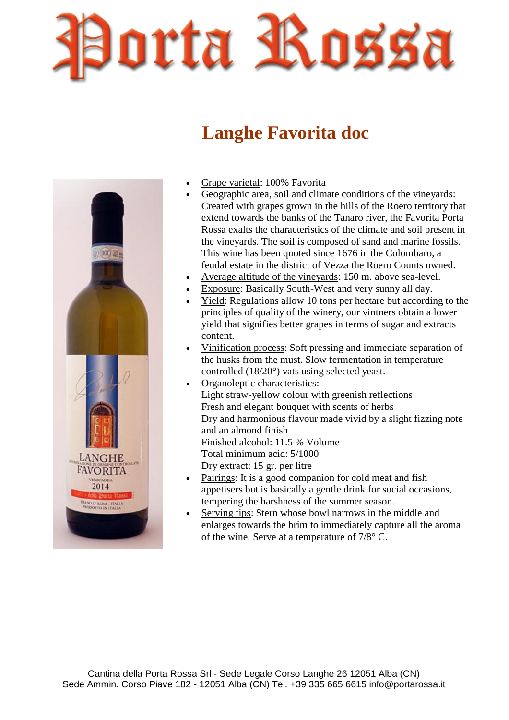

## **Langhe Favorita doc**



- Grape varietal: 100% Favorita
- Geographic area, soil and climate conditions of the vineyards: Created with grapes grown in the hills of the Roero territory that extend towards the banks of the Tanaro river, the Favorita Porta Rossa exalts the characteristics of the climate and soil present in the vineyards. The soil is composed of sand and marine fossils. This wine has been quoted since 1676 in the Colombaro, a feudal estate in the district of Vezza the Roero Counts owned.
- Average altitude of the vineyards: 150 m. above sea-level.
- Exposure: Basically South-West and very sunny all day.
- Yield: Regulations allow 10 tons per hectare but according to the principles of quality of the winery, our vintners obtain a lower yield that signifies better grapes in terms of sugar and extracts content.
- Vinification process: Soft pressing and immediate separation of the husks from the must. Slow fermentation in temperature controlled (18/20°) vats using selected yeast.
- Organoleptic characteristics: Light straw-yellow colour with greenish reflections Fresh and elegant bouquet with scents of herbs Dry and harmonious flavour made vivid by a slight fizzing note and an almond finish Finished alcohol: 11.5 % Volume Total minimum acid: 5/1000 Dry extract: 15 gr. per litre
- Pairings: It is a good companion for cold meat and fish appetisers but is basically a gentle drink for social occasions, tempering the harshness of the summer season.
- Serving tips: Stern whose bowl narrows in the middle and enlarges towards the brim to immediately capture all the aroma of the wine. Serve at a temperature of 7/8° C.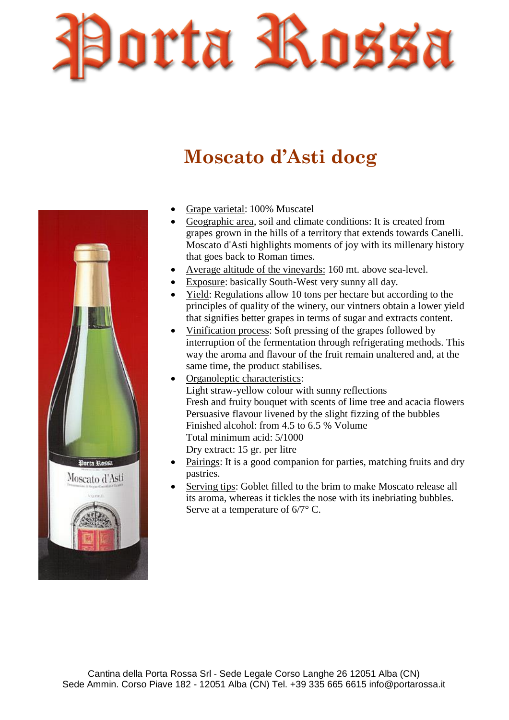

## **Moscato d'Asti docg**



- Grape varietal: 100% Muscatel
- Geographic area, soil and climate conditions: It is created from grapes grown in the hills of a territory that extends towards Canelli. Moscato d'Asti highlights moments of joy with its millenary history that goes back to Roman times.
- Average altitude of the vineyards: 160 mt. above sea-level.
- Exposure: basically South-West very sunny all day.
- Yield: Regulations allow 10 tons per hectare but according to the principles of quality of the winery, our vintners obtain a lower yield that signifies better grapes in terms of sugar and extracts content.
- Vinification process: Soft pressing of the grapes followed by interruption of the fermentation through refrigerating methods. This way the aroma and flavour of the fruit remain unaltered and, at the same time, the product stabilises.
- Organoleptic characteristics: Light straw-yellow colour with sunny reflections Fresh and fruity bouquet with scents of lime tree and acacia flowers Persuasive flavour livened by the slight fizzing of the bubbles Finished alcohol: from 4.5 to 6.5 % Volume Total minimum acid: 5/1000 Dry extract: 15 gr. per litre
- Pairings: It is a good companion for parties, matching fruits and dry pastries.
- Serving tips: Goblet filled to the brim to make Moscato release all its aroma, whereas it tickles the nose with its inebriating bubbles. Serve at a temperature of 6/7° C.